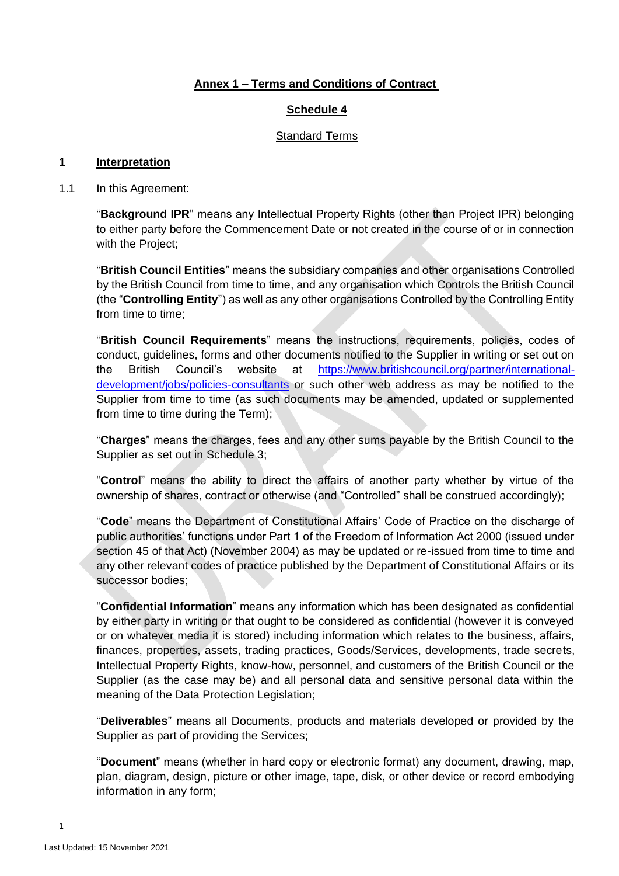# **Annex 1 – Terms and Conditions of Contract**

### **Schedule 4**

### Standard Terms

#### **1 Interpretation**

1.1 In this Agreement:

"**Background IPR**" means any Intellectual Property Rights (other than Project IPR) belonging to either party before the Commencement Date or not created in the course of or in connection with the Project;

"**British Council Entities**" means the subsidiary companies and other organisations Controlled by the British Council from time to time, and any organisation which Controls the British Council (the "**Controlling Entity**") as well as any other organisations Controlled by the Controlling Entity from time to time;

"**British Council Requirements**" means the instructions, requirements, policies, codes of conduct, guidelines, forms and other documents notified to the Supplier in writing or set out on the British Council's website at [https://www.britishcouncil.org/partner/international](https://www.britishcouncil.org/partner/international-development/jobs/policies-consultants)[development/jobs/policies-consultants](https://www.britishcouncil.org/partner/international-development/jobs/policies-consultants) or such other web address as may be notified to the Supplier from time to time (as such documents may be amended, updated or supplemented from time to time during the Term);

"**Charges**" means the charges, fees and any other sums payable by the British Council to the Supplier as set out in Schedule 3;

"**Control**" means the ability to direct the affairs of another party whether by virtue of the ownership of shares, contract or otherwise (and "Controlled" shall be construed accordingly);

"**Code**" means the Department of Constitutional Affairs' Code of Practice on the discharge of public authorities' functions under Part 1 of the Freedom of Information Act 2000 (issued under section 45 of that Act) (November 2004) as may be updated or re-issued from time to time and any other relevant codes of practice published by the Department of Constitutional Affairs or its successor bodies;

"**Confidential Information**" means any information which has been designated as confidential by either party in writing or that ought to be considered as confidential (however it is conveyed or on whatever media it is stored) including information which relates to the business, affairs, finances, properties, assets, trading practices, Goods/Services, developments, trade secrets, Intellectual Property Rights, know-how, personnel, and customers of the British Council or the Supplier (as the case may be) and all personal data and sensitive personal data within the meaning of the Data Protection Legislation;

"**Deliverables**" means all Documents, products and materials developed or provided by the Supplier as part of providing the Services;

"**Document**" means (whether in hard copy or electronic format) any document, drawing, map, plan, diagram, design, picture or other image, tape, disk, or other device or record embodying information in any form;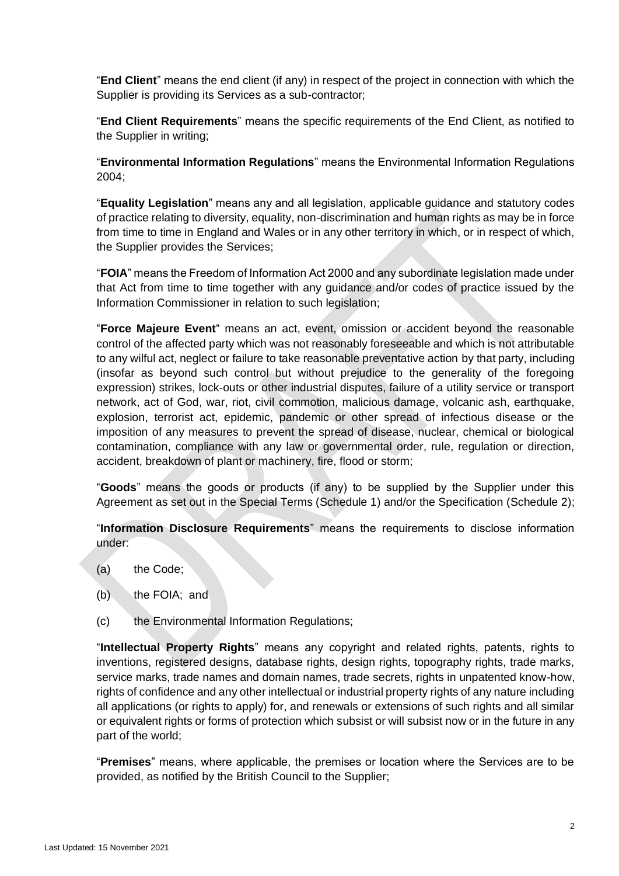"**End Client**" means the end client (if any) in respect of the project in connection with which the Supplier is providing its Services as a sub-contractor;

"**End Client Requirements**" means the specific requirements of the End Client, as notified to the Supplier in writing;

"**Environmental Information Regulations**" means the Environmental Information Regulations 2004;

"**Equality Legislation**" means any and all legislation, applicable guidance and statutory codes of practice relating to diversity, equality, non-discrimination and human rights as may be in force from time to time in England and Wales or in any other territory in which, or in respect of which, the Supplier provides the Services;

"**FOIA**" means the Freedom of Information Act 2000 and any subordinate legislation made under that Act from time to time together with any guidance and/or codes of practice issued by the Information Commissioner in relation to such legislation;

"**Force Majeure Event**" means an act, event, omission or accident beyond the reasonable control of the affected party which was not reasonably foreseeable and which is not attributable to any wilful act, neglect or failure to take reasonable preventative action by that party, including (insofar as beyond such control but without prejudice to the generality of the foregoing expression) strikes, lock-outs or other industrial disputes, failure of a utility service or transport network, act of God, war, riot, civil commotion, malicious damage, volcanic ash, earthquake, explosion, terrorist act, epidemic, pandemic or other spread of infectious disease or the imposition of any measures to prevent the spread of disease, nuclear, chemical or biological contamination, compliance with any law or governmental order, rule, regulation or direction, accident, breakdown of plant or machinery, fire, flood or storm;

"**Goods**" means the goods or products (if any) to be supplied by the Supplier under this Agreement as set out in the Special Terms (Schedule 1) and/or the Specification (Schedule 2);

"**Information Disclosure Requirements**" means the requirements to disclose information under:

- (a) the Code;
- (b) the FOIA; and
- (c) the Environmental Information Regulations;

"**Intellectual Property Rights**" means any copyright and related rights, patents, rights to inventions, registered designs, database rights, design rights, topography rights, trade marks, service marks, trade names and domain names, trade secrets, rights in unpatented know-how, rights of confidence and any other intellectual or industrial property rights of any nature including all applications (or rights to apply) for, and renewals or extensions of such rights and all similar or equivalent rights or forms of protection which subsist or will subsist now or in the future in any part of the world;

"**Premises**" means, where applicable, the premises or location where the Services are to be provided, as notified by the British Council to the Supplier;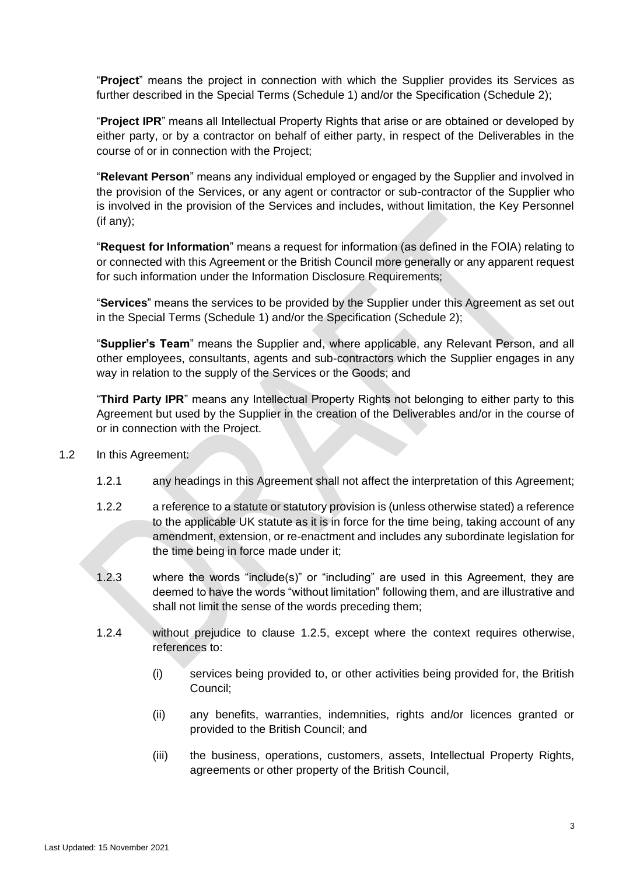"**Project**" means the project in connection with which the Supplier provides its Services as further described in the Special Terms (Schedule 1) and/or the Specification (Schedule 2);

"**Project IPR**" means all Intellectual Property Rights that arise or are obtained or developed by either party, or by a contractor on behalf of either party, in respect of the Deliverables in the course of or in connection with the Project;

"**Relevant Person**" means any individual employed or engaged by the Supplier and involved in the provision of the Services, or any agent or contractor or sub-contractor of the Supplier who is involved in the provision of the Services and includes, without limitation, the Key Personnel (if any);

"**Request for Information**" means a request for information (as defined in the FOIA) relating to or connected with this Agreement or the British Council more generally or any apparent request for such information under the Information Disclosure Requirements;

"**Services**" means the services to be provided by the Supplier under this Agreement as set out in the Special Terms (Schedule 1) and/or the Specification (Schedule 2);

"**Supplier's Team**" means the Supplier and, where applicable, any Relevant Person, and all other employees, consultants, agents and sub-contractors which the Supplier engages in any way in relation to the supply of the Services or the Goods; and

"**Third Party IPR**" means any Intellectual Property Rights not belonging to either party to this Agreement but used by the Supplier in the creation of the Deliverables and/or in the course of or in connection with the Project.

- <span id="page-2-0"></span>1.2 In this Agreement:
	- 1.2.1 any headings in this Agreement shall not affect the interpretation of this Agreement;
	- 1.2.2 a reference to a statute or statutory provision is (unless otherwise stated) a reference to the applicable UK statute as it is in force for the time being, taking account of any amendment, extension, or re-enactment and includes any subordinate legislation for the time being in force made under it;
	- 1.2.3 where the words "include(s)" or "including" are used in this Agreement, they are deemed to have the words "without limitation" following them, and are illustrative and shall not limit the sense of the words preceding them;
	- 1.2.4 without prejudice to clause [1.2.5,](#page-3-0) except where the context requires otherwise, references to:
		- (i) services being provided to, or other activities being provided for, the British Council;
		- (ii) any benefits, warranties, indemnities, rights and/or licences granted or provided to the British Council; and
		- (iii) the business, operations, customers, assets, Intellectual Property Rights, agreements or other property of the British Council,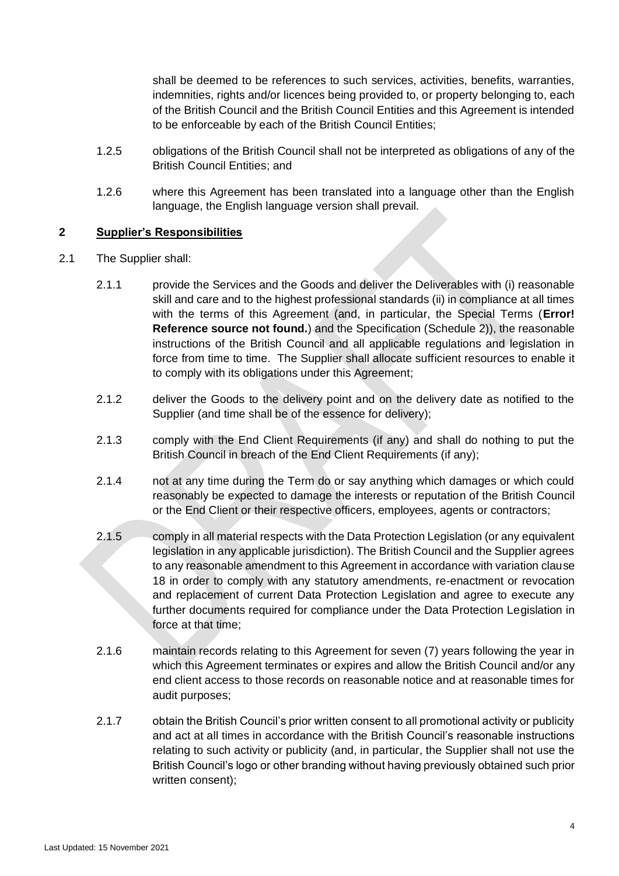shall be deemed to be references to such services, activities, benefits, warranties, indemnities, rights and/or licences being provided to, or property belonging to, each of the British Council and the British Council Entities and this Agreement is intended to be enforceable by each of the British Council Entities;

- <span id="page-3-0"></span>1.2.5 obligations of the British Council shall not be interpreted as obligations of any of the British Council Entities; and
- 1.2.6 where this Agreement has been translated into a language other than the English language, the English language version shall prevail.

### **2 Supplier's Responsibilities**

- 2.1 The Supplier shall:
	- 2.1.1 provide the Services and the Goods and deliver the Deliverables with (i) reasonable skill and care and to the highest professional standards (ii) in compliance at all times with the terms of this Agreement (and, in particular, the Special Terms (**Error! Reference source not found.**) and the Specification (Schedule 2)), the reasonable instructions of the British Council and all applicable regulations and legislation in force from time to time. The Supplier shall allocate sufficient resources to enable it to comply with its obligations under this Agreement;
	- 2.1.2 deliver the Goods to the delivery point and on the delivery date as notified to the Supplier (and time shall be of the essence for delivery);
	- 2.1.3 comply with the End Client Requirements (if any) and shall do nothing to put the British Council in breach of the End Client Requirements (if any);
	- 2.1.4 not at any time during the Term do or say anything which damages or which could reasonably be expected to damage the interests or reputation of the British Council or the End Client or their respective officers, employees, agents or contractors;
	- 2.1.5 comply in all material respects with the Data Protection Legislation (or any equivalent legislation in any applicable jurisdiction). The British Council and the Supplier agrees to any reasonable amendment to this Agreement in accordance with variation clause [18](#page-16-0) in order to comply with any statutory amendments, re-enactment or revocation and replacement of current Data Protection Legislation and agree to execute any further documents required for compliance under the Data Protection Legislation in force at that time;
	- 2.1.6 maintain records relating to this Agreement for seven (7) years following the year in which this Agreement terminates or expires and allow the British Council and/or any end client access to those records on reasonable notice and at reasonable times for audit purposes;
	- 2.1.7 obtain the British Council's prior written consent to all promotional activity or publicity and act at all times in accordance with the British Council's reasonable instructions relating to such activity or publicity (and, in particular, the Supplier shall not use the British Council's logo or other branding without having previously obtained such prior written consent);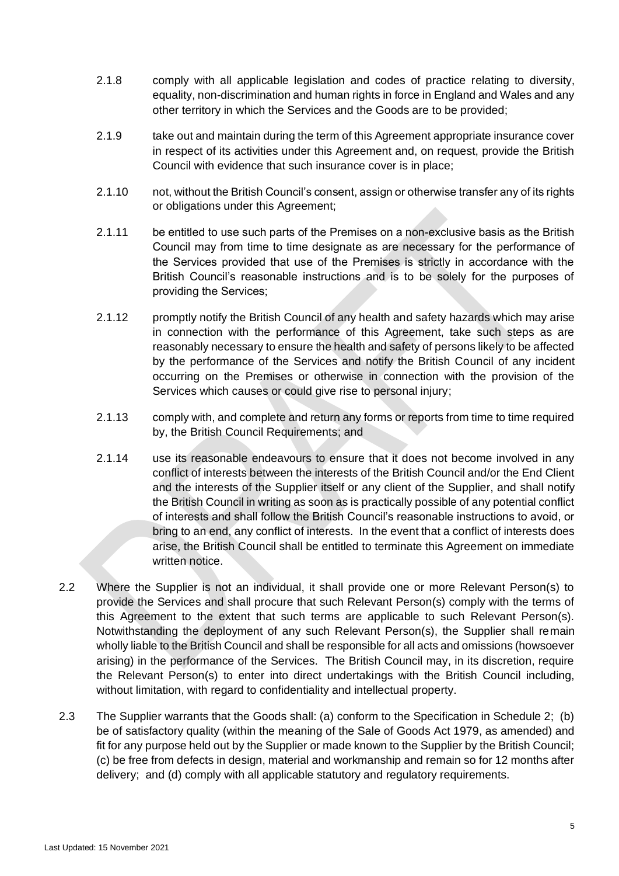- 2.1.8 comply with all applicable legislation and codes of practice relating to diversity, equality, non-discrimination and human rights in force in England and Wales and any other territory in which the Services and the Goods are to be provided;
- 2.1.9 take out and maintain during the term of this Agreement appropriate insurance cover in respect of its activities under this Agreement and, on request, provide the British Council with evidence that such insurance cover is in place;
- 2.1.10 not, without the British Council's consent, assign or otherwise transfer any of its rights or obligations under this Agreement;
- 2.1.11 be entitled to use such parts of the Premises on a non-exclusive basis as the British Council may from time to time designate as are necessary for the performance of the Services provided that use of the Premises is strictly in accordance with the British Council's reasonable instructions and is to be solely for the purposes of providing the Services;
- 2.1.12 promptly notify the British Council of any health and safety hazards which may arise in connection with the performance of this Agreement, take such steps as are reasonably necessary to ensure the health and safety of persons likely to be affected by the performance of the Services and notify the British Council of any incident occurring on the Premises or otherwise in connection with the provision of the Services which causes or could give rise to personal injury;
- 2.1.13 comply with, and complete and return any forms or reports from time to time required by, the British Council Requirements; and
- 2.1.14 use its reasonable endeavours to ensure that it does not become involved in any conflict of interests between the interests of the British Council and/or the End Client and the interests of the Supplier itself or any client of the Supplier, and shall notify the British Council in writing as soon as is practically possible of any potential conflict of interests and shall follow the British Council's reasonable instructions to avoid, or bring to an end, any conflict of interests. In the event that a conflict of interests does arise, the British Council shall be entitled to terminate this Agreement on immediate written notice.
- 2.2 Where the Supplier is not an individual, it shall provide one or more Relevant Person(s) to provide the Services and shall procure that such Relevant Person(s) comply with the terms of this Agreement to the extent that such terms are applicable to such Relevant Person(s). Notwithstanding the deployment of any such Relevant Person(s), the Supplier shall remain wholly liable to the British Council and shall be responsible for all acts and omissions (howsoever arising) in the performance of the Services. The British Council may, in its discretion, require the Relevant Person(s) to enter into direct undertakings with the British Council including, without limitation, with regard to confidentiality and intellectual property.
- 2.3 The Supplier warrants that the Goods shall: (a) conform to the Specification in Schedule 2; (b) be of satisfactory quality (within the meaning of the Sale of Goods Act 1979, as amended) and fit for any purpose held out by the Supplier or made known to the Supplier by the British Council; (c) be free from defects in design, material and workmanship and remain so for 12 months after delivery; and (d) comply with all applicable statutory and regulatory requirements.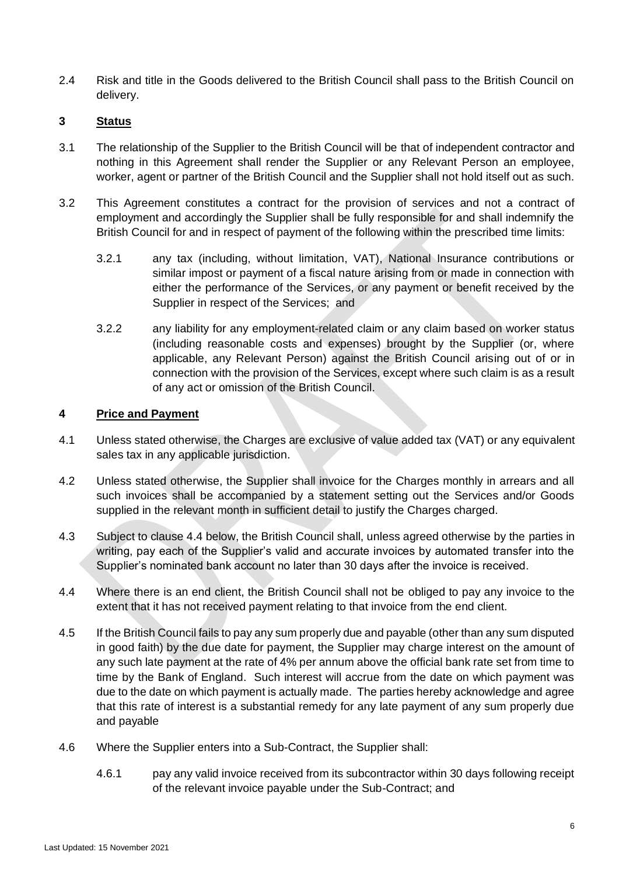2.4 Risk and title in the Goods delivered to the British Council shall pass to the British Council on delivery.

## **3 Status**

- 3.1 The relationship of the Supplier to the British Council will be that of independent contractor and nothing in this Agreement shall render the Supplier or any Relevant Person an employee, worker, agent or partner of the British Council and the Supplier shall not hold itself out as such.
- 3.2 This Agreement constitutes a contract for the provision of services and not a contract of employment and accordingly the Supplier shall be fully responsible for and shall indemnify the British Council for and in respect of payment of the following within the prescribed time limits:
	- 3.2.1 any tax (including, without limitation, VAT), National Insurance contributions or similar impost or payment of a fiscal nature arising from or made in connection with either the performance of the Services, or any payment or benefit received by the Supplier in respect of the Services; and
	- 3.2.2 any liability for any employment-related claim or any claim based on worker status (including reasonable costs and expenses) brought by the Supplier (or, where applicable, any Relevant Person) against the British Council arising out of or in connection with the provision of the Services, except where such claim is as a result of any act or omission of the British Council.

### **4 Price and Payment**

- 4.1 Unless stated otherwise, the Charges are exclusive of value added tax (VAT) or any equivalent sales tax in any applicable jurisdiction.
- 4.2 Unless stated otherwise, the Supplier shall invoice for the Charges monthly in arrears and all such invoices shall be accompanied by a statement setting out the Services and/or Goods supplied in the relevant month in sufficient detail to justify the Charges charged.
- 4.3 Subject to clause [4.4](#page-5-0) below, the British Council shall, unless agreed otherwise by the parties in writing, pay each of the Supplier's valid and accurate invoices by automated transfer into the Supplier's nominated bank account no later than 30 days after the invoice is received.
- <span id="page-5-0"></span>4.4 Where there is an end client, the British Council shall not be obliged to pay any invoice to the extent that it has not received payment relating to that invoice from the end client.
- 4.5 If the British Council fails to pay any sum properly due and payable (other than any sum disputed in good faith) by the due date for payment, the Supplier may charge interest on the amount of any such late payment at the rate of 4% per annum above the official bank rate set from time to time by the Bank of England. Such interest will accrue from the date on which payment was due to the date on which payment is actually made. The parties hereby acknowledge and agree that this rate of interest is a substantial remedy for any late payment of any sum properly due and payable
- <span id="page-5-2"></span><span id="page-5-1"></span>4.6 Where the Supplier enters into a Sub-Contract, the Supplier shall:
	- 4.6.1 pay any valid invoice received from its subcontractor within 30 days following receipt of the relevant invoice payable under the Sub-Contract; and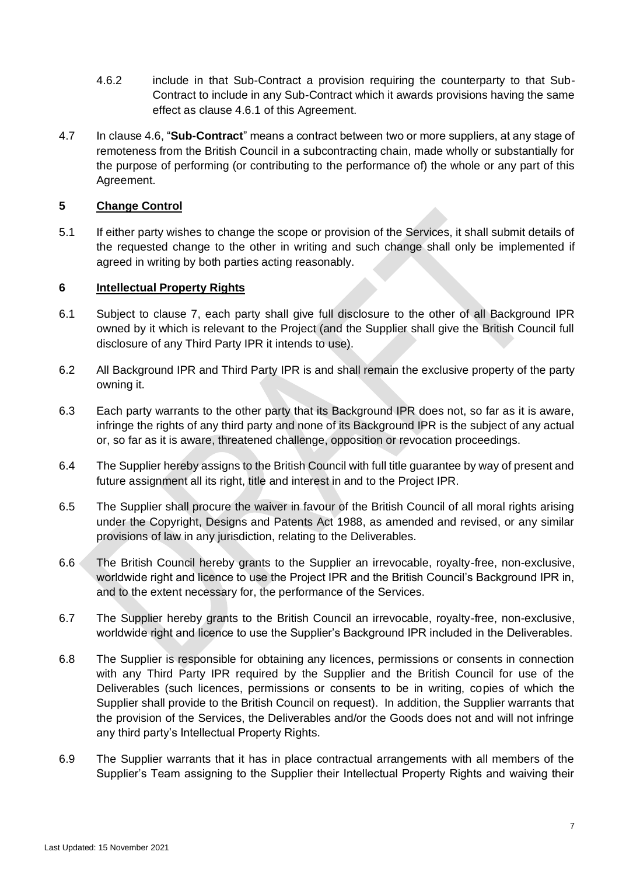- 4.6.2 include in that Sub-Contract a provision requiring the counterparty to that Sub-Contract to include in any Sub-Contract which it awards provisions having the same effect as clause [4.6.1](#page-5-1) of this Agreement.
- 4.7 In clause [4.6,](#page-5-2) "**Sub-Contract**" means a contract between two or more suppliers, at any stage of remoteness from the British Council in a subcontracting chain, made wholly or substantially for the purpose of performing (or contributing to the performance of) the whole or any part of this Agreement.

### **5 Change Control**

5.1 If either party wishes to change the scope or provision of the Services, it shall submit details of the requested change to the other in writing and such change shall only be implemented if agreed in writing by both parties acting reasonably.

### <span id="page-6-0"></span>**6 Intellectual Property Rights**

- 6.1 Subject to clause [7,](#page-7-0) each party shall give full disclosure to the other of all Background IPR owned by it which is relevant to the Project (and the Supplier shall give the British Council full disclosure of any Third Party IPR it intends to use).
- 6.2 All Background IPR and Third Party IPR is and shall remain the exclusive property of the party owning it.
- 6.3 Each party warrants to the other party that its Background IPR does not, so far as it is aware, infringe the rights of any third party and none of its Background IPR is the subject of any actual or, so far as it is aware, threatened challenge, opposition or revocation proceedings.
- 6.4 The Supplier hereby assigns to the British Council with full title guarantee by way of present and future assignment all its right, title and interest in and to the Project IPR.
- 6.5 The Supplier shall procure the waiver in favour of the British Council of all moral rights arising under the Copyright, Designs and Patents Act 1988, as amended and revised, or any similar provisions of law in any jurisdiction, relating to the Deliverables.
- 6.6 The British Council hereby grants to the Supplier an irrevocable, royalty-free, non-exclusive, worldwide right and licence to use the Project IPR and the British Council's Background IPR in, and to the extent necessary for, the performance of the Services.
- 6.7 The Supplier hereby grants to the British Council an irrevocable, royalty-free, non-exclusive, worldwide right and licence to use the Supplier's Background IPR included in the Deliverables.
- 6.8 The Supplier is responsible for obtaining any licences, permissions or consents in connection with any Third Party IPR required by the Supplier and the British Council for use of the Deliverables (such licences, permissions or consents to be in writing, copies of which the Supplier shall provide to the British Council on request). In addition, the Supplier warrants that the provision of the Services, the Deliverables and/or the Goods does not and will not infringe any third party's Intellectual Property Rights.
- 6.9 The Supplier warrants that it has in place contractual arrangements with all members of the Supplier's Team assigning to the Supplier their Intellectual Property Rights and waiving their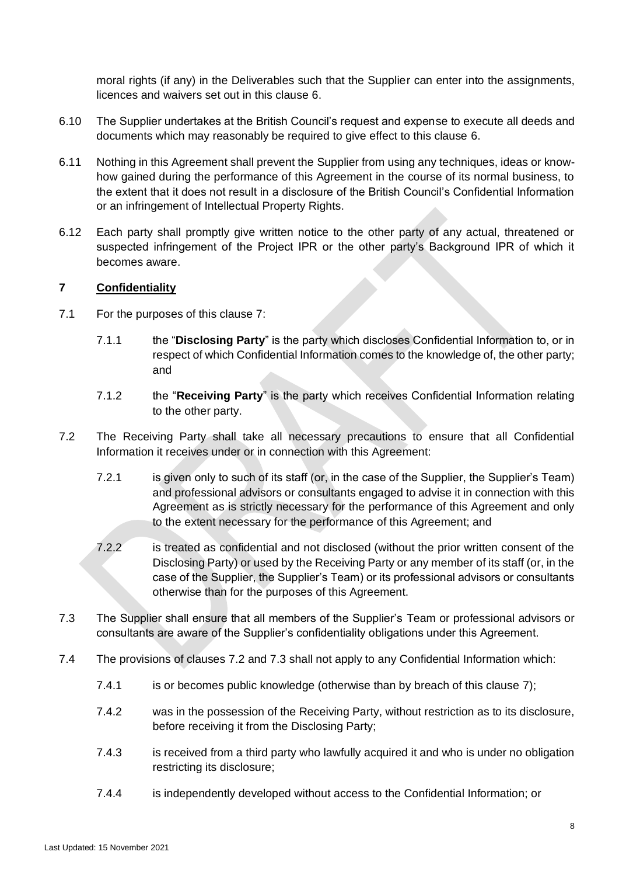moral rights (if any) in the Deliverables such that the Supplier can enter into the assignments, licences and waivers set out in this clause [6.](#page-6-0)

- 6.10 The Supplier undertakes at the British Council's request and expense to execute all deeds and documents which may reasonably be required to give effect to this clause [6.](#page-6-0)
- 6.11 Nothing in this Agreement shall prevent the Supplier from using any techniques, ideas or knowhow gained during the performance of this Agreement in the course of its normal business, to the extent that it does not result in a disclosure of the British Council's Confidential Information or an infringement of Intellectual Property Rights.
- 6.12 Each party shall promptly give written notice to the other party of any actual, threatened or suspected infringement of the Project IPR or the other party's Background IPR of which it becomes aware.

### <span id="page-7-0"></span>**7 Confidentiality**

- 7.1 For the purposes of this clause [7:](#page-7-0)
	- 7.1.1 the "**Disclosing Party**" is the party which discloses Confidential Information to, or in respect of which Confidential Information comes to the knowledge of, the other party; and
	- 7.1.2 the "**Receiving Party**" is the party which receives Confidential Information relating to the other party.
- <span id="page-7-1"></span>7.2 The Receiving Party shall take all necessary precautions to ensure that all Confidential Information it receives under or in connection with this Agreement:
	- 7.2.1 is given only to such of its staff (or, in the case of the Supplier, the Supplier's Team) and professional advisors or consultants engaged to advise it in connection with this Agreement as is strictly necessary for the performance of this Agreement and only to the extent necessary for the performance of this Agreement; and
	- 7.2.2 is treated as confidential and not disclosed (without the prior written consent of the Disclosing Party) or used by the Receiving Party or any member of its staff (or, in the case of the Supplier, the Supplier's Team) or its professional advisors or consultants otherwise than for the purposes of this Agreement.
- <span id="page-7-2"></span>7.3 The Supplier shall ensure that all members of the Supplier's Team or professional advisors or consultants are aware of the Supplier's confidentiality obligations under this Agreement.
- 7.4 The provisions of clauses [7.2](#page-7-1) and [7.3](#page-7-2) shall not apply to any Confidential Information which:
	- 7.4.1 is or becomes public knowledge (otherwise than by breach of this clause [7\)](#page-7-0);
	- 7.4.2 was in the possession of the Receiving Party, without restriction as to its disclosure, before receiving it from the Disclosing Party;
	- 7.4.3 is received from a third party who lawfully acquired it and who is under no obligation restricting its disclosure;
	- 7.4.4 is independently developed without access to the Confidential Information; or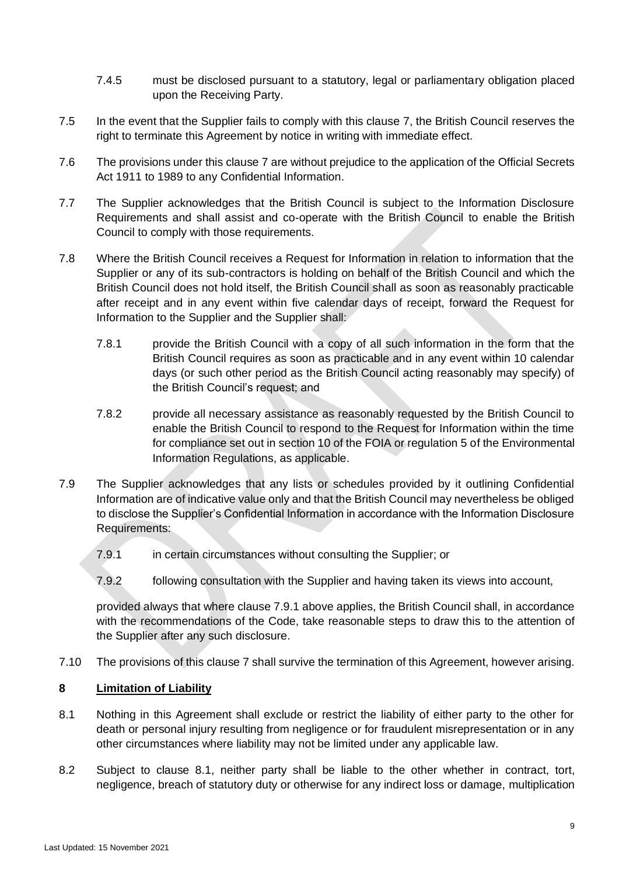- 7.4.5 must be disclosed pursuant to a statutory, legal or parliamentary obligation placed upon the Receiving Party.
- 7.5 In the event that the Supplier fails to comply with this clause [7,](#page-7-0) the British Council reserves the right to terminate this Agreement by notice in writing with immediate effect.
- 7.6 The provisions under this clause [7](#page-7-0) are without prejudice to the application of the Official Secrets Act 1911 to 1989 to any Confidential Information.
- 7.7 The Supplier acknowledges that the British Council is subject to the Information Disclosure Requirements and shall assist and co-operate with the British Council to enable the British Council to comply with those requirements.
- 7.8 Where the British Council receives a Request for Information in relation to information that the Supplier or any of its sub-contractors is holding on behalf of the British Council and which the British Council does not hold itself, the British Council shall as soon as reasonably practicable after receipt and in any event within five calendar days of receipt, forward the Request for Information to the Supplier and the Supplier shall:
	- 7.8.1 provide the British Council with a copy of all such information in the form that the British Council requires as soon as practicable and in any event within 10 calendar days (or such other period as the British Council acting reasonably may specify) of the British Council's request; and
	- 7.8.2 provide all necessary assistance as reasonably requested by the British Council to enable the British Council to respond to the Request for Information within the time for compliance set out in section 10 of the FOIA or regulation 5 of the Environmental Information Regulations, as applicable.
- <span id="page-8-0"></span>7.9 The Supplier acknowledges that any lists or schedules provided by it outlining Confidential Information are of indicative value only and that the British Council may nevertheless be obliged to disclose the Supplier's Confidential Information in accordance with the Information Disclosure Requirements:
	- 7.9.1 in certain circumstances without consulting the Supplier; or
	- 7.9.2 following consultation with the Supplier and having taken its views into account,

provided always that where clause [7.9.1](#page-8-0) above applies, the British Council shall, in accordance with the recommendations of the Code, take reasonable steps to draw this to the attention of the Supplier after any such disclosure.

7.10 The provisions of this clause [7](#page-7-0) shall survive the termination of this Agreement, however arising.

## **8 Limitation of Liability**

- <span id="page-8-1"></span>8.1 Nothing in this Agreement shall exclude or restrict the liability of either party to the other for death or personal injury resulting from negligence or for fraudulent misrepresentation or in any other circumstances where liability may not be limited under any applicable law.
- <span id="page-8-2"></span>8.2 Subject to clause [8.1,](#page-8-1) neither party shall be liable to the other whether in contract, tort, negligence, breach of statutory duty or otherwise for any indirect loss or damage, multiplication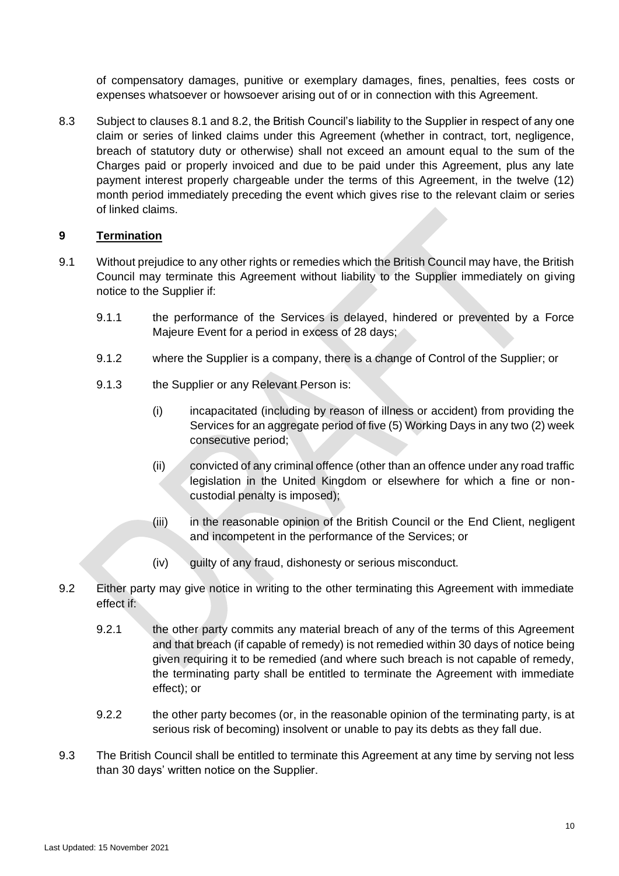of compensatory damages, punitive or exemplary damages, fines, penalties, fees costs or expenses whatsoever or howsoever arising out of or in connection with this Agreement.

8.3 Subject to clauses [8.1](#page-8-1) and [8.2,](#page-8-2) the British Council's liability to the Supplier in respect of any one claim or series of linked claims under this Agreement (whether in contract, tort, negligence, breach of statutory duty or otherwise) shall not exceed an amount equal to the sum of the Charges paid or properly invoiced and due to be paid under this Agreement, plus any late payment interest properly chargeable under the terms of this Agreement, in the twelve (12) month period immediately preceding the event which gives rise to the relevant claim or series of linked claims.

# **9 Termination**

- 9.1 Without prejudice to any other rights or remedies which the British Council may have, the British Council may terminate this Agreement without liability to the Supplier immediately on giving notice to the Supplier if:
	- 9.1.1 the performance of the Services is delayed, hindered or prevented by a Force Majeure Event for a period in excess of 28 days;
	- 9.1.2 where the Supplier is a company, there is a change of Control of the Supplier; or
	- 9.1.3 the Supplier or any Relevant Person is:
		- (i) incapacitated (including by reason of illness or accident) from providing the Services for an aggregate period of five (5) Working Days in any two (2) week consecutive period;
		- (ii) convicted of any criminal offence (other than an offence under any road traffic legislation in the United Kingdom or elsewhere for which a fine or noncustodial penalty is imposed);
		- (iii) in the reasonable opinion of the British Council or the End Client, negligent and incompetent in the performance of the Services; or
		- $(iv)$  guilty of any fraud, dishonesty or serious misconduct.
- <span id="page-9-0"></span>9.2 Either party may give notice in writing to the other terminating this Agreement with immediate effect if:
	- 9.2.1 the other party commits any material breach of any of the terms of this Agreement and that breach (if capable of remedy) is not remedied within 30 days of notice being given requiring it to be remedied (and where such breach is not capable of remedy, the terminating party shall be entitled to terminate the Agreement with immediate effect); or
	- 9.2.2 the other party becomes (or, in the reasonable opinion of the terminating party, is at serious risk of becoming) insolvent or unable to pay its debts as they fall due.
- 9.3 The British Council shall be entitled to terminate this Agreement at any time by serving not less than 30 days' written notice on the Supplier.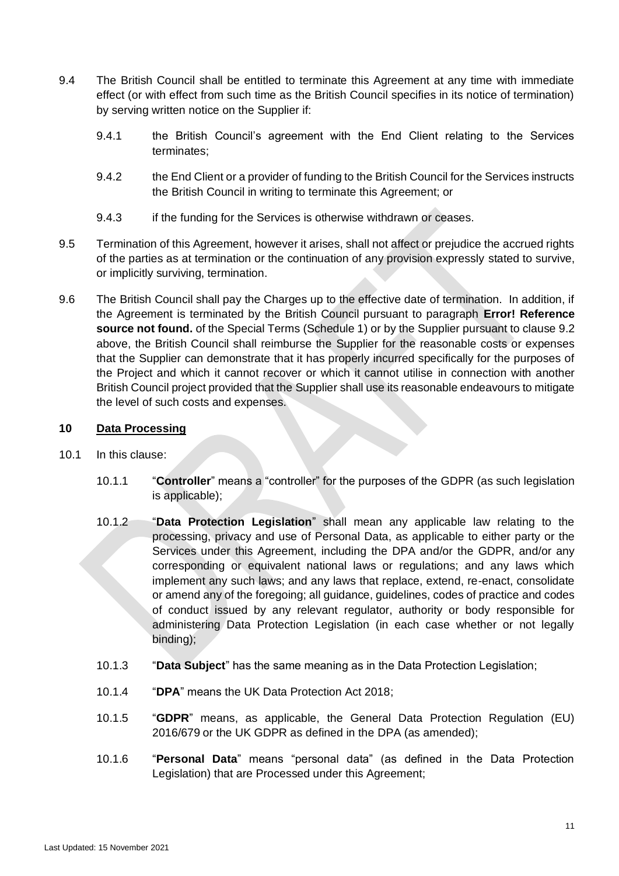- 9.4 The British Council shall be entitled to terminate this Agreement at any time with immediate effect (or with effect from such time as the British Council specifies in its notice of termination) by serving written notice on the Supplier if:
	- 9.4.1 the British Council's agreement with the End Client relating to the Services terminates;
	- 9.4.2 the End Client or a provider of funding to the British Council for the Services instructs the British Council in writing to terminate this Agreement; or
	- 9.4.3 if the funding for the Services is otherwise withdrawn or ceases.
- 9.5 Termination of this Agreement, however it arises, shall not affect or prejudice the accrued rights of the parties as at termination or the continuation of any provision expressly stated to survive, or implicitly surviving, termination.
- 9.6 The British Council shall pay the Charges up to the effective date of termination. In addition, if the Agreement is terminated by the British Council pursuant to paragraph **Error! Reference source not found.** of the Special Terms (Schedule 1) or by the Supplier pursuant to clause [9.2](#page-9-0) above, the British Council shall reimburse the Supplier for the reasonable costs or expenses that the Supplier can demonstrate that it has properly incurred specifically for the purposes of the Project and which it cannot recover or which it cannot utilise in connection with another British Council project provided that the Supplier shall use its reasonable endeavours to mitigate the level of such costs and expenses.

# **10 Data Processing**

- <span id="page-10-0"></span>10.1 In this clause:
	- 10.1.1 "**Controller**" means a "controller" for the purposes of the GDPR (as such legislation is applicable);
	- 10.1.2 "**Data Protection Legislation**" shall mean any applicable law relating to the processing, privacy and use of Personal Data, as applicable to either party or the Services under this Agreement, including the DPA and/or the GDPR, and/or any corresponding or equivalent national laws or regulations; and any laws which implement any such laws; and any laws that replace, extend, re-enact, consolidate or amend any of the foregoing; all guidance, guidelines, codes of practice and codes of conduct issued by any relevant regulator, authority or body responsible for administering Data Protection Legislation (in each case whether or not legally binding);
	- 10.1.3 "**Data Subject**" has the same meaning as in the Data Protection Legislation;
	- 10.1.4 "**DPA**" means the UK Data Protection Act 2018;
	- 10.1.5 "**GDPR**" means, as applicable, the General Data Protection Regulation (EU) 2016/679 or the UK GDPR as defined in the DPA (as amended);
	- 10.1.6 "**Personal Data**" means "personal data" (as defined in the Data Protection Legislation) that are Processed under this Agreement;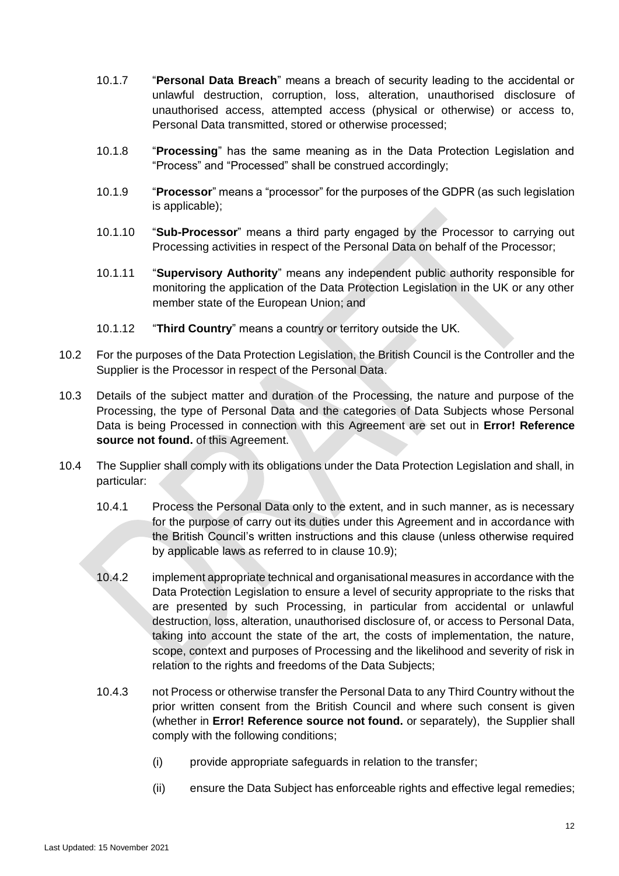- 10.1.7 "**Personal Data Breach**" means a breach of security leading to the accidental or unlawful destruction, corruption, loss, alteration, unauthorised disclosure of unauthorised access, attempted access (physical or otherwise) or access to, Personal Data transmitted, stored or otherwise processed;
- 10.1.8 "**Processing**" has the same meaning as in the Data Protection Legislation and "Process" and "Processed" shall be construed accordingly;
- 10.1.9 "**Processor**" means a "processor" for the purposes of the GDPR (as such legislation is applicable);
- 10.1.10 "**Sub-Processor**" means a third party engaged by the Processor to carrying out Processing activities in respect of the Personal Data on behalf of the Processor;
- 10.1.11 "**Supervisory Authority**" means any independent public authority responsible for monitoring the application of the Data Protection Legislation in the UK or any other member state of the European Union; and
- 10.1.12 "**Third Country**" means a country or territory outside the UK.
- 10.2 For the purposes of the Data Protection Legislation, the British Council is the Controller and the Supplier is the Processor in respect of the Personal Data.
- 10.3 Details of the subject matter and duration of the Processing, the nature and purpose of the Processing, the type of Personal Data and the categories of Data Subjects whose Personal Data is being Processed in connection with this Agreement are set out in **Error! Reference source not found.** of this Agreement.
- <span id="page-11-0"></span>10.4 The Supplier shall comply with its obligations under the Data Protection Legislation and shall, in particular:
	- 10.4.1 Process the Personal Data only to the extent, and in such manner, as is necessary for the purpose of carry out its duties under this Agreement and in accordance with the British Council's written instructions and this clause (unless otherwise required by applicable laws as referred to in clause [10.9\)](#page-13-0);
	- 10.4.2 implement appropriate technical and organisational measures in accordance with the Data Protection Legislation to ensure a level of security appropriate to the risks that are presented by such Processing, in particular from accidental or unlawful destruction, loss, alteration, unauthorised disclosure of, or access to Personal Data, taking into account the state of the art, the costs of implementation, the nature, scope, context and purposes of Processing and the likelihood and severity of risk in relation to the rights and freedoms of the Data Subjects;
	- 10.4.3 not Process or otherwise transfer the Personal Data to any Third Country without the prior written consent from the British Council and where such consent is given (whether in **Error! Reference source not found.** or separately), the Supplier shall comply with the following conditions;
		- (i) provide appropriate safeguards in relation to the transfer;
		- (ii) ensure the Data Subject has enforceable rights and effective legal remedies;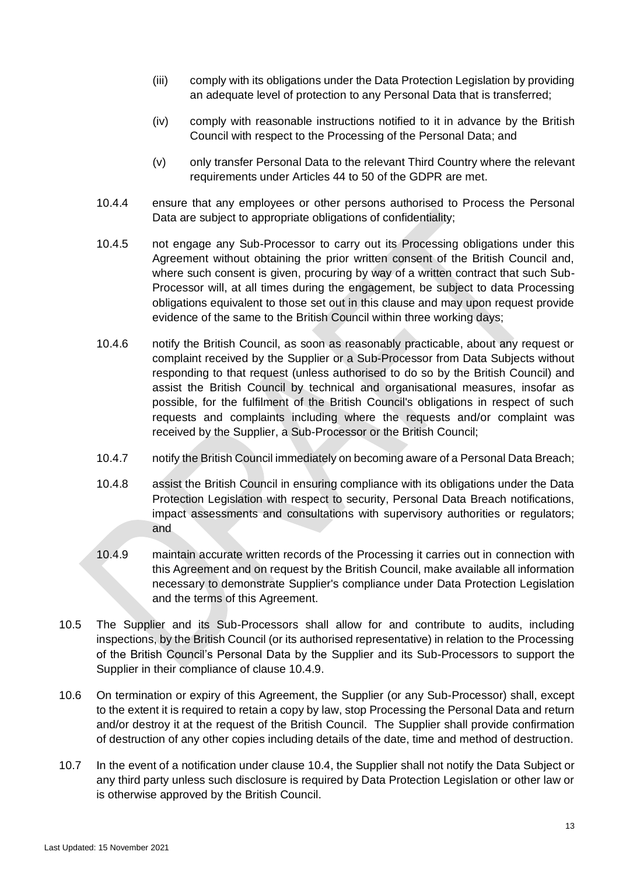- (iii) comply with its obligations under the Data Protection Legislation by providing an adequate level of protection to any Personal Data that is transferred;
- (iv) comply with reasonable instructions notified to it in advance by the British Council with respect to the Processing of the Personal Data; and
- (v) only transfer Personal Data to the relevant Third Country where the relevant requirements under Articles 44 to 50 of the GDPR are met.
- 10.4.4 ensure that any employees or other persons authorised to Process the Personal Data are subject to appropriate obligations of confidentiality;
- 10.4.5 not engage any Sub-Processor to carry out its Processing obligations under this Agreement without obtaining the prior written consent of the British Council and, where such consent is given, procuring by way of a written contract that such Sub-Processor will, at all times during the engagement, be subject to data Processing obligations equivalent to those set out in this clause and may upon request provide evidence of the same to the British Council within three working days;
- 10.4.6 notify the British Council, as soon as reasonably practicable, about any request or complaint received by the Supplier or a Sub-Processor from Data Subjects without responding to that request (unless authorised to do so by the British Council) and assist the British Council by technical and organisational measures, insofar as possible, for the fulfilment of the British Council's obligations in respect of such requests and complaints including where the requests and/or complaint was received by the Supplier, a Sub-Processor or the British Council;
- 10.4.7 notify the British Council immediately on becoming aware of a Personal Data Breach;
- 10.4.8 assist the British Council in ensuring compliance with its obligations under the Data Protection Legislation with respect to security, Personal Data Breach notifications, impact assessments and consultations with supervisory authorities or regulators; and
- <span id="page-12-0"></span>10.4.9 maintain accurate written records of the Processing it carries out in connection with this Agreement and on request by the British Council, make available all information necessary to demonstrate Supplier's compliance under Data Protection Legislation and the terms of this Agreement.
- 10.5 The Supplier and its Sub-Processors shall allow for and contribute to audits, including inspections, by the British Council (or its authorised representative) in relation to the Processing of the British Council's Personal Data by the Supplier and its Sub-Processors to support the Supplier in their compliance of clause [10.4.9.](#page-12-0)
- 10.6 On termination or expiry of this Agreement, the Supplier (or any Sub-Processor) shall, except to the extent it is required to retain a copy by law, stop Processing the Personal Data and return and/or destroy it at the request of the British Council. The Supplier shall provide confirmation of destruction of any other copies including details of the date, time and method of destruction.
- 10.7 In the event of a notification under clause [10.4,](#page-11-0) the Supplier shall not notify the Data Subject or any third party unless such disclosure is required by Data Protection Legislation or other law or is otherwise approved by the British Council.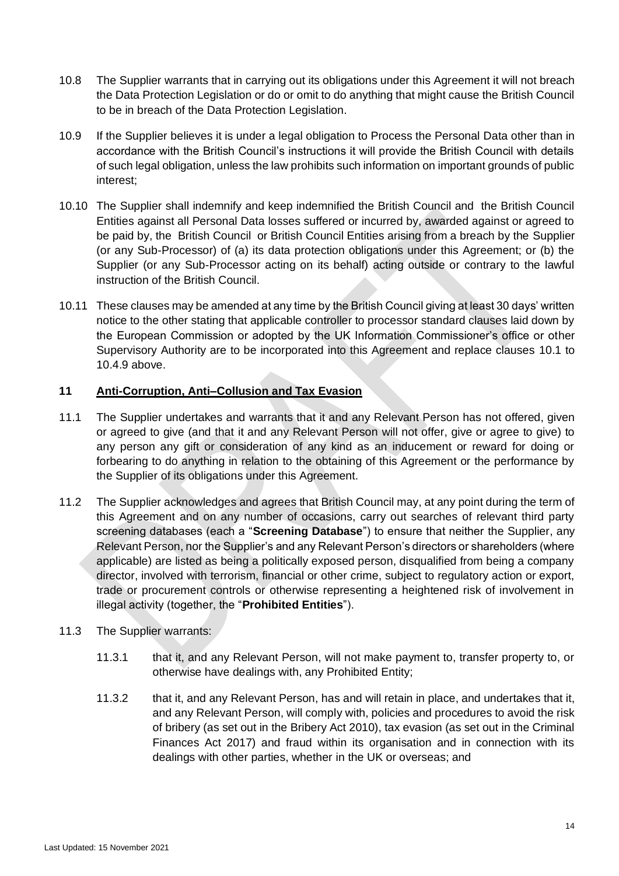- 10.8 The Supplier warrants that in carrying out its obligations under this Agreement it will not breach the Data Protection Legislation or do or omit to do anything that might cause the British Council to be in breach of the Data Protection Legislation.
- <span id="page-13-0"></span>10.9 If the Supplier believes it is under a legal obligation to Process the Personal Data other than in accordance with the British Council's instructions it will provide the British Council with details of such legal obligation, unless the law prohibits such information on important grounds of public interest;
- 10.10 The Supplier shall indemnify and keep indemnified the British Council and the British Council Entities against all Personal Data losses suffered or incurred by, awarded against or agreed to be paid by, the British Council or British Council Entities arising from a breach by the Supplier (or any Sub-Processor) of (a) its data protection obligations under this Agreement; or (b) the Supplier (or any Sub-Processor acting on its behalf) acting outside or contrary to the lawful instruction of the British Council.
- 10.11 These clauses may be amended at any time by the British Council giving at least 30 days' written notice to the other stating that applicable controller to processor standard clauses laid down by the European Commission or adopted by the UK Information Commissioner's office or other Supervisory Authority are to be incorporated into this Agreement and replace clauses [10.1](#page-10-0) to [10.4.9](#page-12-0) above.

# <span id="page-13-4"></span>**11 Anti-Corruption, Anti–Collusion and Tax Evasion**

- <span id="page-13-3"></span>11.1 The Supplier undertakes and warrants that it and any Relevant Person has not offered, given or agreed to give (and that it and any Relevant Person will not offer, give or agree to give) to any person any gift or consideration of any kind as an inducement or reward for doing or forbearing to do anything in relation to the obtaining of this Agreement or the performance by the Supplier of its obligations under this Agreement.
- <span id="page-13-2"></span>11.2 The Supplier acknowledges and agrees that British Council may, at any point during the term of this Agreement and on any number of occasions, carry out searches of relevant third party screening databases (each a "**Screening Database**") to ensure that neither the Supplier, any Relevant Person, nor the Supplier's and any Relevant Person's directors or shareholders (where applicable) are listed as being a politically exposed person, disqualified from being a company director, involved with terrorism, financial or other crime, subject to regulatory action or export, trade or procurement controls or otherwise representing a heightened risk of involvement in illegal activity (together, the "**Prohibited Entities**").
- <span id="page-13-1"></span>11.3 The Supplier warrants:
	- 11.3.1 that it, and any Relevant Person, will not make payment to, transfer property to, or otherwise have dealings with, any Prohibited Entity;
	- 11.3.2 that it, and any Relevant Person, has and will retain in place, and undertakes that it, and any Relevant Person, will comply with, policies and procedures to avoid the risk of bribery (as set out in the Bribery Act 2010), tax evasion (as set out in the Criminal Finances Act 2017) and fraud within its organisation and in connection with its dealings with other parties, whether in the UK or overseas; and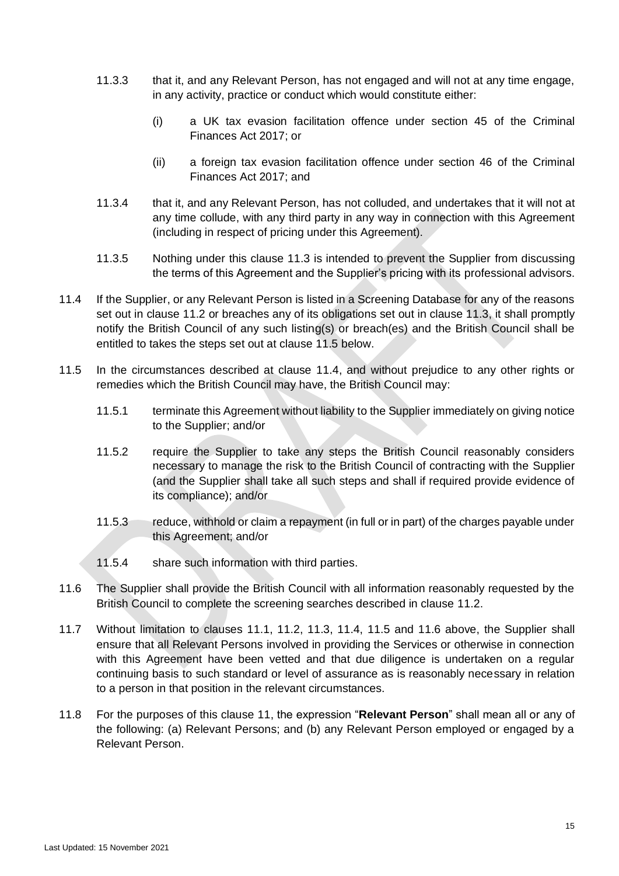- 11.3.3 that it, and any Relevant Person, has not engaged and will not at any time engage, in any activity, practice or conduct which would constitute either:
	- (i) a UK tax evasion facilitation offence under section 45 of the Criminal Finances Act 2017; or
	- (ii) a foreign tax evasion facilitation offence under section 46 of the Criminal Finances Act 2017; and
- 11.3.4 that it, and any Relevant Person, has not colluded, and undertakes that it will not at any time collude, with any third party in any way in connection with this Agreement (including in respect of pricing under this Agreement).
- 11.3.5 Nothing under this clause [11.3](#page-13-1) is intended to prevent the Supplier from discussing the terms of this Agreement and the Supplier's pricing with its professional advisors.
- <span id="page-14-1"></span>11.4 If the Supplier, or any Relevant Person is listed in a Screening Database for any of the reasons set out in clause [11.2](#page-13-2) or breaches any of its obligations set out in clause [11.3,](#page-13-1) it shall promptly notify the British Council of any such listing(s) or breach(es) and the British Council shall be entitled to takes the steps set out at clause [11.5](#page-14-0) below.
- <span id="page-14-0"></span>11.5 In the circumstances described at clause [11.4,](#page-14-1) and without prejudice to any other rights or remedies which the British Council may have, the British Council may:
	- 11.5.1 terminate this Agreement without liability to the Supplier immediately on giving notice to the Supplier; and/or
	- 11.5.2 require the Supplier to take any steps the British Council reasonably considers necessary to manage the risk to the British Council of contracting with the Supplier (and the Supplier shall take all such steps and shall if required provide evidence of its compliance); and/or
	- 11.5.3 reduce, withhold or claim a repayment (in full or in part) of the charges payable under this Agreement; and/or
	- 11.5.4 share such information with third parties.
- <span id="page-14-2"></span>11.6 The Supplier shall provide the British Council with all information reasonably requested by the British Council to complete the screening searches described in clause [11.2.](#page-13-2)
- 11.7 Without limitation to clauses [11.1,](#page-13-3) [11.2,](#page-13-2) [11.3,](#page-13-1) [11.4,](#page-14-1) [11.5](#page-14-0) and [11.6](#page-14-2) above, the Supplier shall ensure that all Relevant Persons involved in providing the Services or otherwise in connection with this Agreement have been vetted and that due diligence is undertaken on a regular continuing basis to such standard or level of assurance as is reasonably necessary in relation to a person in that position in the relevant circumstances.
- 11.8 For the purposes of this clause [11,](#page-13-4) the expression "**Relevant Person**" shall mean all or any of the following: (a) Relevant Persons; and (b) any Relevant Person employed or engaged by a Relevant Person.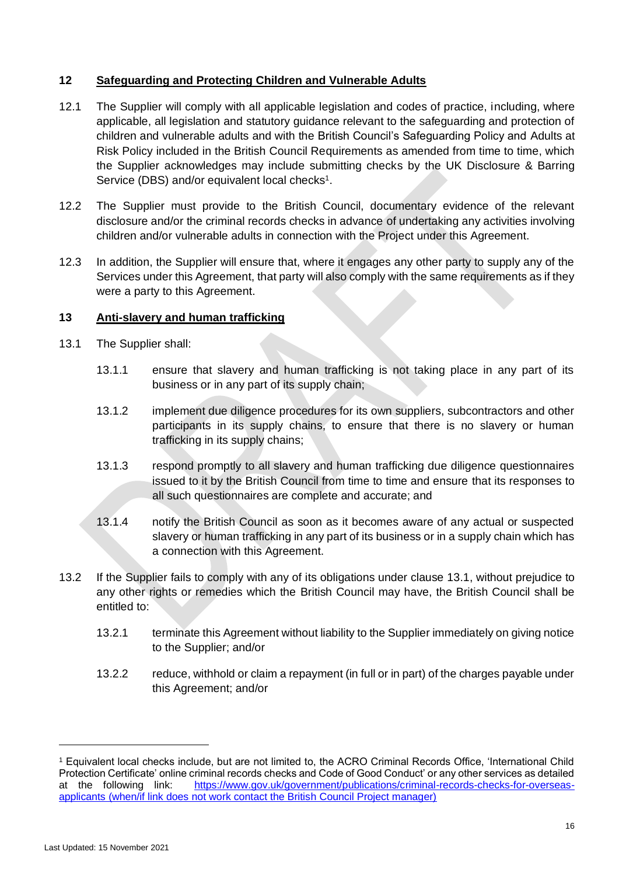# **12 Safeguarding and Protecting Children and Vulnerable Adults**

- 12.1 The Supplier will comply with all applicable legislation and codes of practice, including, where applicable, all legislation and statutory guidance relevant to the safeguarding and protection of children and vulnerable adults and with the British Council's Safeguarding Policy and Adults at Risk Policy included in the British Council Requirements as amended from time to time, which the Supplier acknowledges may include submitting checks by the UK Disclosure & Barring Service (DBS) and/or equivalent local checks<sup>1</sup>.
- 12.2 The Supplier must provide to the British Council, documentary evidence of the relevant disclosure and/or the criminal records checks in advance of undertaking any activities involving children and/or vulnerable adults in connection with the Project under this Agreement.
- 12.3 In addition, the Supplier will ensure that, where it engages any other party to supply any of the Services under this Agreement, that party will also comply with the same requirements as if they were a party to this Agreement.

### **13 Anti-slavery and human trafficking**

- <span id="page-15-0"></span>13.1 The Supplier shall:
	- 13.1.1 ensure that slavery and human trafficking is not taking place in any part of its business or in any part of its supply chain;
	- 13.1.2 implement due diligence procedures for its own suppliers, subcontractors and other participants in its supply chains, to ensure that there is no slavery or human trafficking in its supply chains;
	- 13.1.3 respond promptly to all slavery and human trafficking due diligence questionnaires issued to it by the British Council from time to time and ensure that its responses to all such questionnaires are complete and accurate; and
	- 13.1.4 notify the British Council as soon as it becomes aware of any actual or suspected slavery or human trafficking in any part of its business or in a supply chain which has a connection with this Agreement.
- 13.2 If the Supplier fails to comply with any of its obligations under clause [13.1,](#page-15-0) without prejudice to any other rights or remedies which the British Council may have, the British Council shall be entitled to:
	- 13.2.1 terminate this Agreement without liability to the Supplier immediately on giving notice to the Supplier; and/or
	- 13.2.2 reduce, withhold or claim a repayment (in full or in part) of the charges payable under this Agreement; and/or

<sup>1</sup> Equivalent local checks include, but are not limited to, the ACRO Criminal Records Office, 'International Child Protection Certificate' online criminal records checks and Code of Good Conduct' or any other services as detailed at the following link: [https://www.gov.uk/government/publications/criminal-records-checks-for-overseas](https://www.gov.uk/government/publications/criminal-records-checks-for-overseas-applicants)[applicants](https://www.gov.uk/government/publications/criminal-records-checks-for-overseas-applicants) (when/if link does not work contact the British Council Project manager)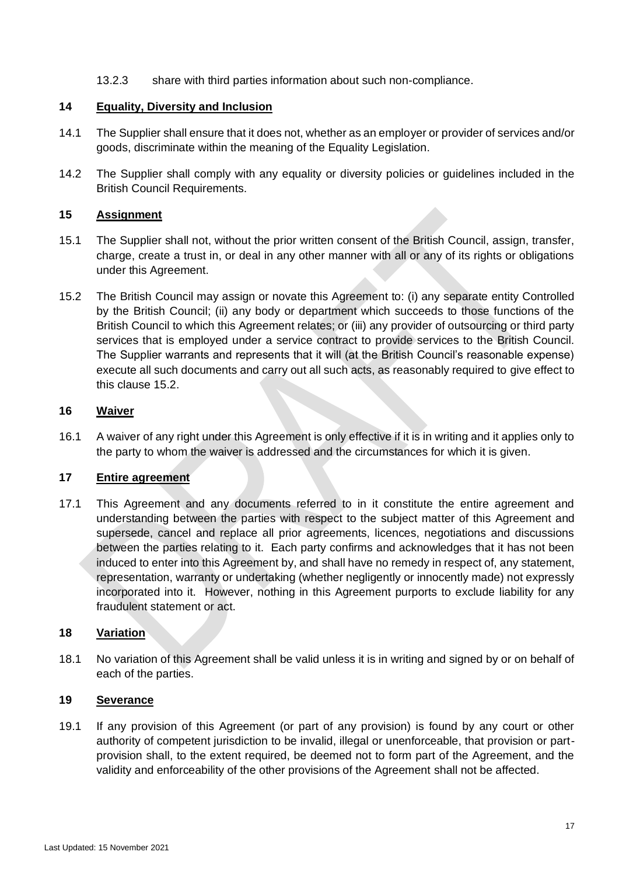13.2.3 share with third parties information about such non-compliance.

### **14 Equality, Diversity and Inclusion**

- 14.1 The Supplier shall ensure that it does not, whether as an employer or provider of services and/or goods, discriminate within the meaning of the Equality Legislation.
- 14.2 The Supplier shall comply with any equality or diversity policies or guidelines included in the British Council Requirements.

### <span id="page-16-2"></span>**15 Assignment**

- 15.1 The Supplier shall not, without the prior written consent of the British Council, assign, transfer, charge, create a trust in, or deal in any other manner with all or any of its rights or obligations under this Agreement.
- <span id="page-16-1"></span>15.2 The British Council may assign or novate this Agreement to: (i) any separate entity Controlled by the British Council; (ii) any body or department which succeeds to those functions of the British Council to which this Agreement relates; or (iii) any provider of outsourcing or third party services that is employed under a service contract to provide services to the British Council. The Supplier warrants and represents that it will (at the British Council's reasonable expense) execute all such documents and carry out all such acts, as reasonably required to give effect to this clause [15.2.](#page-16-1)

### **16 Waiver**

16.1 A waiver of any right under this Agreement is only effective if it is in writing and it applies only to the party to whom the waiver is addressed and the circumstances for which it is given.

#### **17 Entire agreement**

17.1 This Agreement and any documents referred to in it constitute the entire agreement and understanding between the parties with respect to the subject matter of this Agreement and supersede, cancel and replace all prior agreements, licences, negotiations and discussions between the parties relating to it. Each party confirms and acknowledges that it has not been induced to enter into this Agreement by, and shall have no remedy in respect of, any statement, representation, warranty or undertaking (whether negligently or innocently made) not expressly incorporated into it. However, nothing in this Agreement purports to exclude liability for any fraudulent statement or act.

# <span id="page-16-0"></span>**18 Variation**

18.1 No variation of this Agreement shall be valid unless it is in writing and signed by or on behalf of each of the parties.

# **19 Severance**

19.1 If any provision of this Agreement (or part of any provision) is found by any court or other authority of competent jurisdiction to be invalid, illegal or unenforceable, that provision or partprovision shall, to the extent required, be deemed not to form part of the Agreement, and the validity and enforceability of the other provisions of the Agreement shall not be affected.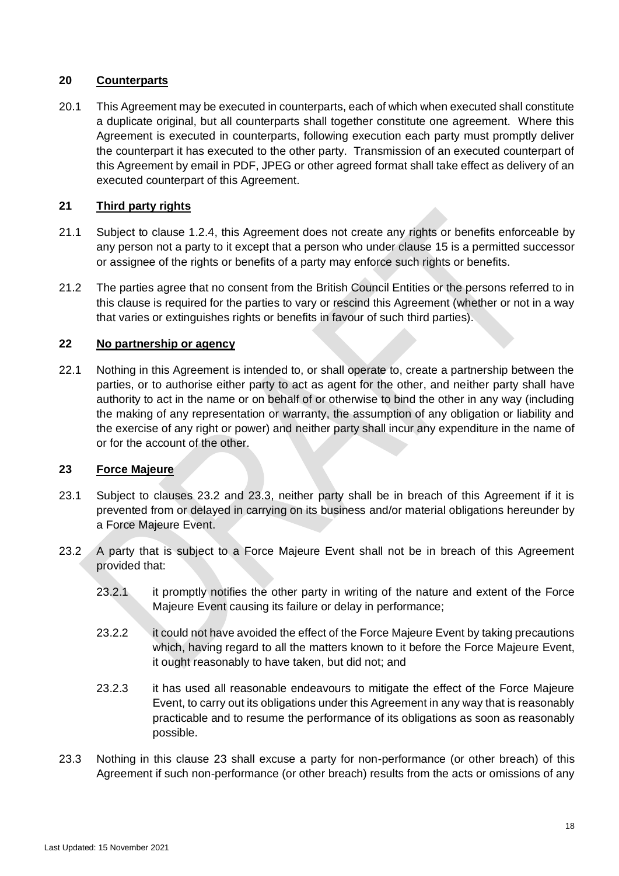# **20 Counterparts**

20.1 This Agreement may be executed in counterparts, each of which when executed shall constitute a duplicate original, but all counterparts shall together constitute one agreement. Where this Agreement is executed in counterparts, following execution each party must promptly deliver the counterpart it has executed to the other party. Transmission of an executed counterpart of this Agreement by email in PDF, JPEG or other agreed format shall take effect as delivery of an executed counterpart of this Agreement.

# **21 Third party rights**

- 21.1 Subject to clause [1.2.4,](#page-2-0) this Agreement does not create any rights or benefits enforceable by any person not a party to it except that a person who under clause [15](#page-16-2) is a permitted successor or assignee of the rights or benefits of a party may enforce such rights or benefits.
- 21.2 The parties agree that no consent from the British Council Entities or the persons referred to in this clause is required for the parties to vary or rescind this Agreement (whether or not in a way that varies or extinguishes rights or benefits in favour of such third parties).

# **22 No partnership or agency**

22.1 Nothing in this Agreement is intended to, or shall operate to, create a partnership between the parties, or to authorise either party to act as agent for the other, and neither party shall have authority to act in the name or on behalf of or otherwise to bind the other in any way (including the making of any representation or warranty, the assumption of any obligation or liability and the exercise of any right or power) and neither party shall incur any expenditure in the name of or for the account of the other.

### <span id="page-17-2"></span>**23 Force Majeure**

- 23.1 Subject to clauses [23.2](#page-17-0) and [23.3,](#page-17-1) neither party shall be in breach of this Agreement if it is prevented from or delayed in carrying on its business and/or material obligations hereunder by a Force Majeure Event.
- <span id="page-17-0"></span>23.2 A party that is subject to a Force Majeure Event shall not be in breach of this Agreement provided that:
	- 23.2.1 it promptly notifies the other party in writing of the nature and extent of the Force Majeure Event causing its failure or delay in performance;
	- 23.2.2 it could not have avoided the effect of the Force Maieure Event by taking precautions which, having regard to all the matters known to it before the Force Majeure Event, it ought reasonably to have taken, but did not; and
	- 23.2.3 it has used all reasonable endeavours to mitigate the effect of the Force Majeure Event, to carry out its obligations under this Agreement in any way that is reasonably practicable and to resume the performance of its obligations as soon as reasonably possible.
- <span id="page-17-1"></span>23.3 Nothing in this clause [23](#page-17-2) shall excuse a party for non-performance (or other breach) of this Agreement if such non-performance (or other breach) results from the acts or omissions of any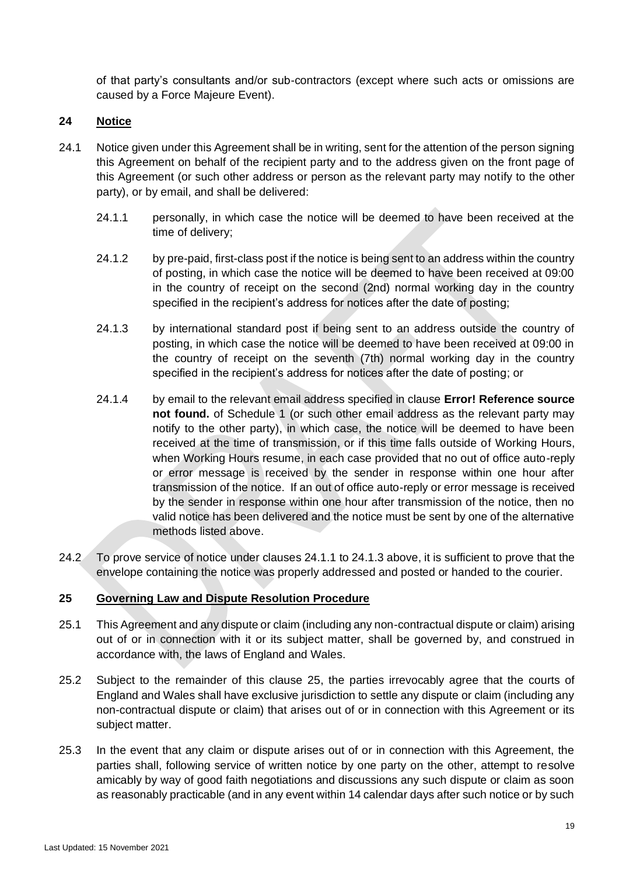of that party's consultants and/or sub-contractors (except where such acts or omissions are caused by a Force Majeure Event).

# **24 Notice**

- <span id="page-18-1"></span><span id="page-18-0"></span>24.1 Notice given under this Agreement shall be in writing, sent for the attention of the person signing this Agreement on behalf of the recipient party and to the address given on the front page of this Agreement (or such other address or person as the relevant party may notify to the other party), or by email, and shall be delivered:
	- 24.1.1 personally, in which case the notice will be deemed to have been received at the time of delivery;
	- 24.1.2 by pre-paid, first-class post if the notice is being sent to an address within the country of posting, in which case the notice will be deemed to have been received at 09:00 in the country of receipt on the second (2nd) normal working day in the country specified in the recipient's address for notices after the date of posting;
	- 24.1.3 by international standard post if being sent to an address outside the country of posting, in which case the notice will be deemed to have been received at 09:00 in the country of receipt on the seventh (7th) normal working day in the country specified in the recipient's address for notices after the date of posting; or
	- 24.1.4 by email to the relevant email address specified in clause **Error! Reference source not found.** of Schedule 1 (or such other email address as the relevant party may notify to the other party), in which case, the notice will be deemed to have been received at the time of transmission, or if this time falls outside of Working Hours, when Working Hours resume, in each case provided that no out of office auto-reply or error message is received by the sender in response within one hour after transmission of the notice. If an out of office auto-reply or error message is received by the sender in response within one hour after transmission of the notice, then no valid notice has been delivered and the notice must be sent by one of the alternative methods listed above.
- 24.2 To prove service of notice under clauses [24.1.1](#page-18-0) to [24.1.3](#page-18-1) above, it is sufficient to prove that the envelope containing the notice was properly addressed and posted or handed to the courier.

# <span id="page-18-2"></span>**25 Governing Law and Dispute Resolution Procedure**

- 25.1 This Agreement and any dispute or claim (including any non-contractual dispute or claim) arising out of or in connection with it or its subject matter, shall be governed by, and construed in accordance with, the laws of England and Wales.
- <span id="page-18-4"></span>25.2 Subject to the remainder of this clause [25,](#page-18-2) the parties irrevocably agree that the courts of England and Wales shall have exclusive jurisdiction to settle any dispute or claim (including any non-contractual dispute or claim) that arises out of or in connection with this Agreement or its subject matter.
- <span id="page-18-3"></span>25.3 In the event that any claim or dispute arises out of or in connection with this Agreement, the parties shall, following service of written notice by one party on the other, attempt to resolve amicably by way of good faith negotiations and discussions any such dispute or claim as soon as reasonably practicable (and in any event within 14 calendar days after such notice or by such